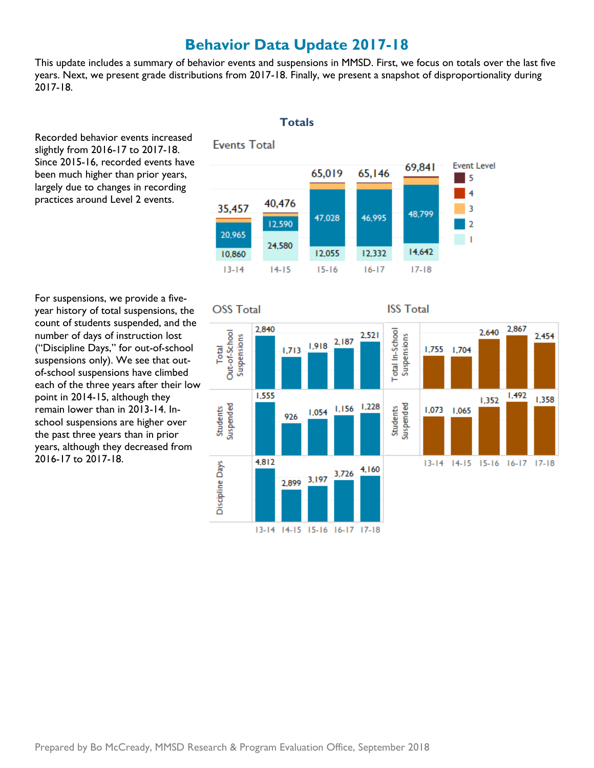# **Behavior Data Update 2017-18**

 This update includes a summary of behavior events and suspensions in MMSD. First, we focus on totals over the last five years. Next, we present grade distributions from 2017-18. Finally, we present a snapshot of disproportionality during 2017-18.

 Recorded behavior events increased slightly from 2016-17 to 2017-18. been much higher than prior years, largely due to changes in recording practices around Level 2 events. Since 2015-16, recorded events have



 For suspensions, we provide a five- year history of total suspensions, the count of students suspended, and the number of days of instruction lost suspensions only). We see that out- of-school suspensions have climbed each of the three years after their low point in 2014-15, although they school suspensions are higher over the past three years than in prior ("Discipline Days," for out-of-school remain lower than in 2013-14. Inyears, although they decreased from 2016-17 to 2017-18.

### **Totals**

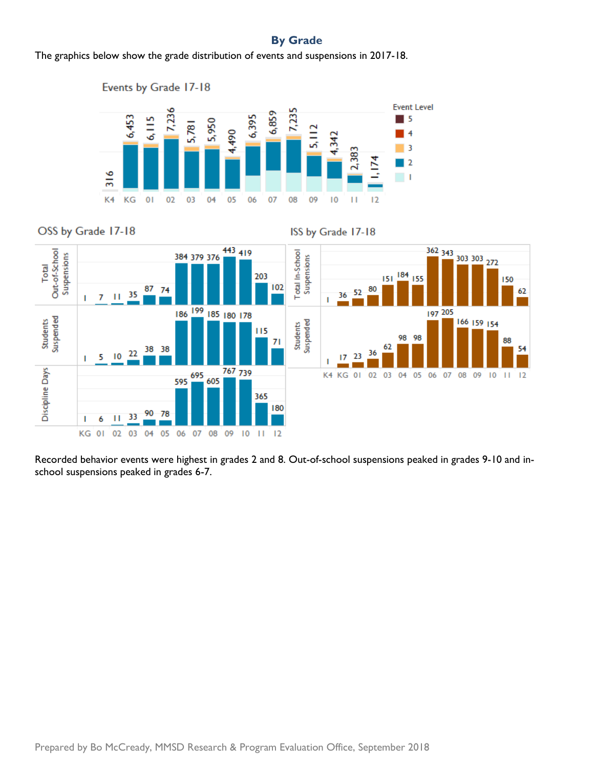## **By Grade**

The graphics below show the grade distribution of events and suspensions in 2017-18.









 Recorded behavior events were highest in grades 2 and 8. Out-of-school suspensions peaked in grades 9-10 and in-school suspensions peaked in grades 6-7.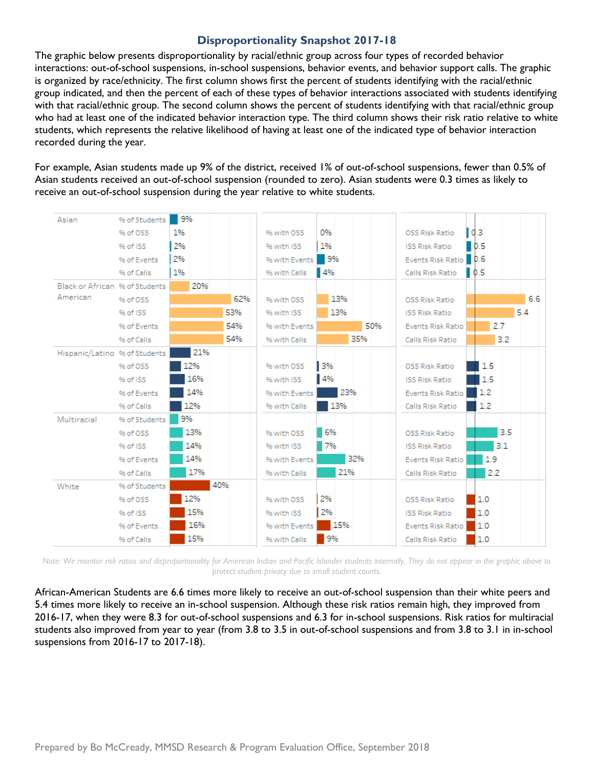#### **Disproportionality Snapshot 2017-18**

 The graphic below presents disproportionality by racial/ethnic group across four types of recorded behavior interactions: out-of-school suspensions, in-school suspensions, behavior events, and behavior support calls. The graphic is organized by race/ethnicity. The first column shows first the percent of students identifying with the racial/ethnic group indicated, and then the percent of each of these types of behavior interactions associated with students identifying with that racial/ethnic group. The second column shows the percent of students identifying with that racial/ethnic group who had at least one of the indicated behavior interaction type. The third column shows their risk ratio relative to white students, which represents the relative likelihood of having at least one of the indicated type of behavior interaction recorded during the year.

 For example, Asian students made up 9% of the district, received 1% of out-of-school suspensions, fewer than 0.5% of Asian students received an out-of-school suspension (rounded to zero). Asian students were 0.3 times as likely to receive an out-of-school suspension during the year relative to white students.

| Asian                          | % of Students | 9%  |     |               |                   |                                             |     |
|--------------------------------|---------------|-----|-----|---------------|-------------------|---------------------------------------------|-----|
|                                | % of OSS      | 1%  |     | % with OSS    | 0%                | 0.3<br>OSS Risk Ratio                       |     |
|                                | % of ISS      | 2%  |     | % with ISS    | 1%                | $\blacksquare$ 0.5<br><b>ISS Risk Ratio</b> |     |
|                                | % of Events   | 2%  |     | % with Events | $\frac{9\%}{2}$   | Events Risk Ratio   0.6                     |     |
|                                | % of Calls    | 1%  |     | % with Calls  | $\blacksquare$ 4% | $\blacksquare$ 0.5<br>Calls Risk Ratio      |     |
| Black or African % of Students |               | 20% |     |               |                   |                                             |     |
| American                       | % of OSS      |     | 62% | % with OSS    | 13%               | OSS Risk Ratio                              | 6.6 |
|                                | % of ISS      |     | 53% | % with ISS    | 13%               | <b>ISS Risk Ratio</b>                       | 5.4 |
|                                | % of Events   |     | 54% | % with Events | 50%               | <b>Events Risk Ratio</b>                    | 2.7 |
|                                | % of Calls    |     | 54% | % with Calls  | 35%               | Calls Risk Ratio                            | 3.2 |
| Hispanic/Latino % of Students  |               | 21% |     |               |                   |                                             |     |
|                                | % of OSS      | 12% |     | % with OSS    | 3%                | <b>OSS Risk Ratio</b>                       | 1.5 |
|                                | % of ISS      | 16% |     | % with ISS    | 4%                | <b>ISS Risk Ratio</b>                       | 1.5 |
|                                | % of Events   | 14% |     | % with Events | 23%               | 1.2<br>Events Risk Ratio                    |     |
|                                | % of Calls    | 12% |     | % with Calls  | 13%               | 1.2<br>Calls Risk Ratio                     |     |
| Multiracial                    | % of Students | 9%  |     |               |                   |                                             |     |
|                                | % of OSS      | 13% |     | % with OSS    | 6%                | OSS Risk Ratio                              | 3.5 |
|                                | % of ISS      | 14% |     | % with ISS    | 7%                | <b>ISS Risk Ratio</b>                       | 3.1 |
|                                | % of Events   | 14% |     | % with Events | 32%               | Events Risk Ratio                           | 1.9 |
|                                | % of Calls    | 17% |     | % with Calls  | 21%               | Calls Risk Ratio                            | 2.2 |
| White                          | % of Students | 40% |     |               |                   |                                             |     |
|                                | % of OSS      | 12% |     | % with OSS    | 2%                | 1.0<br><b>OSS Risk Ratio</b>                |     |
|                                | % of ISS      | 15% |     | % with ISS    | 2%                | 1.0<br><b>ISS Risk Ratio</b>                |     |
|                                | % of Events   | 16% |     | % with Events | 15%               | 11.0<br>Events Risk Ratio                   |     |
|                                | % of Calls    | 15% |     | % with Calls  | 9%                | 1.0<br>Calls Risk Ratio                     |     |

*Note: We monitor risk ratios and disproportionality for American Indian and Pacific Islander students internally. They do not appear in the graphic above to protect student privacy due to small student counts.* 

 African-American Students are 6.6 times more likely to receive an out-of-school suspension than their white peers and 5.4 times more likely to receive an in-school suspension. Although these risk ratios remain high, they improved from 2016-17, when they were 8.3 for out-of-school suspensions and 6.3 for in-school suspensions. Risk ratios for multiracial students also improved from year to year (from 3.8 to 3.5 in out-of-school suspensions and from 3.8 to 3.1 in in-school suspensions from 2016-17 to 2017-18).